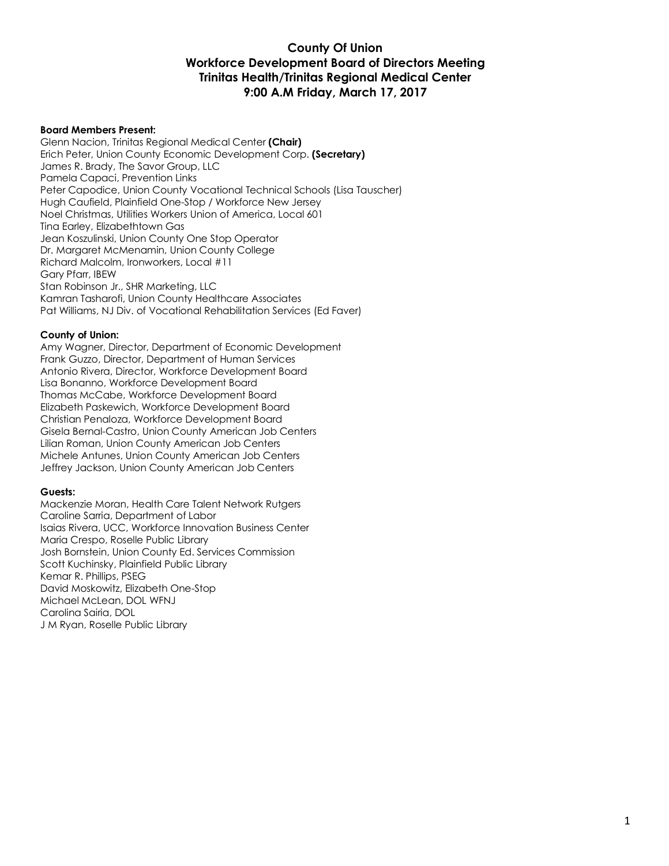### **County Of Union Workforce Development Board of Directors Meeting Trinitas Health/Trinitas Regional Medical Center 9:00 A.M Friday, March 17, 2017**

#### **Board Members Present:**

Glenn Nacion, Trinitas Regional Medical Center **(Chair)** Erich Peter, Union County Economic Development Corp. **(Secretary)** James R. Brady, The Savor Group, LLC Pamela Capaci, Prevention Links Peter Capodice, Union County Vocational Technical Schools (Lisa Tauscher) Hugh Caufield, Plainfield One-Stop / Workforce New Jersey Noel Christmas, Utilities Workers Union of America, Local 601 Tina Earley, Elizabethtown Gas Jean Koszulinski, Union County One Stop Operator Dr. Margaret McMenamin, Union County College Richard Malcolm, Ironworkers, Local #11 Gary Pfarr, IBEW Stan Robinson Jr., SHR Marketing, LLC Kamran Tasharofi, Union County Healthcare Associates Pat Williams, NJ Div. of Vocational Rehabilitation Services (Ed Faver)

#### **County of Union:**

Amy Wagner, Director, Department of Economic Development Frank Guzzo, Director, Department of Human Services Antonio Rivera, Director, Workforce Development Board Lisa Bonanno, Workforce Development Board Thomas McCabe, Workforce Development Board Elizabeth Paskewich, Workforce Development Board Christian Penaloza, Workforce Development Board Gisela Bernal-Castro, Union County American Job Centers Lilian Roman, Union County American Job Centers Michele Antunes, Union County American Job Centers Jeffrey Jackson, Union County American Job Centers

#### **Guests:**

Mackenzie Moran, Health Care Talent Network Rutgers Caroline Sarria, Department of Labor Isaias Rivera, UCC, Workforce Innovation Business Center Maria Crespo, Roselle Public Library Josh Bornstein, Union County Ed. Services Commission Scott Kuchinsky, Plainfield Public Library Kemar R. Phillips, PSEG David Moskowitz, Elizabeth One-Stop Michael McLean, DOL WFNJ Carolina Sairia, DOL J M Ryan, Roselle Public Library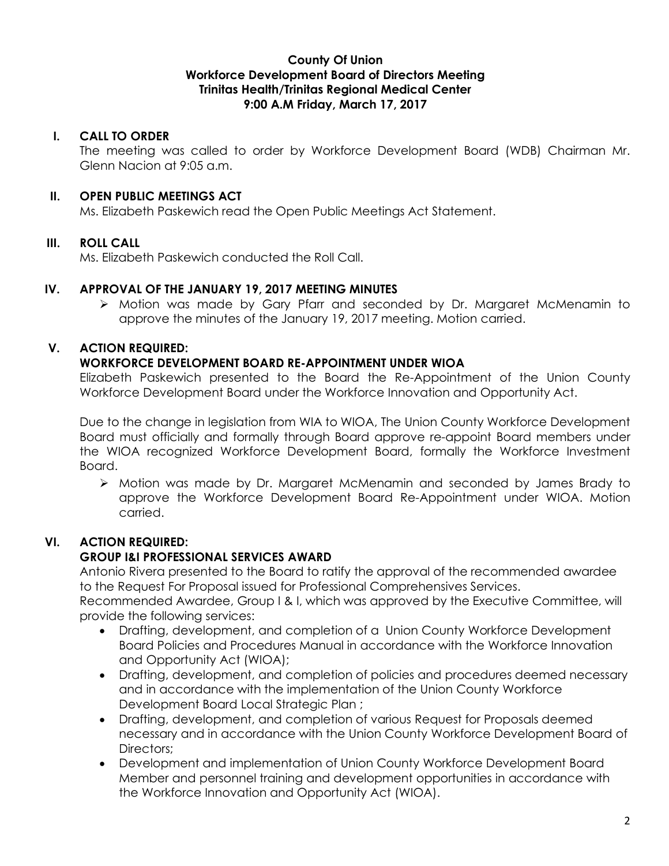### **County Of Union Workforce Development Board of Directors Meeting Trinitas Health/Trinitas Regional Medical Center 9:00 A.M Friday, March 17, 2017**

### **I. CALL TO ORDER**

The meeting was called to order by Workforce Development Board (WDB) Chairman Mr. Glenn Nacion at 9:05 a.m.

### **II. OPEN PUBLIC MEETINGS ACT**

Ms. Elizabeth Paskewich read the Open Public Meetings Act Statement.

## **III. ROLL CALL**

Ms. Elizabeth Paskewich conducted the Roll Call.

### **IV. APPROVAL OF THE JANUARY 19, 2017 MEETING MINUTES**

Ø Motion was made by Gary Pfarr and seconded by Dr. Margaret McMenamin to approve the minutes of the January 19, 2017 meeting. Motion carried.

### **V. ACTION REQUIRED:**

### **WORKFORCE DEVELOPMENT BOARD RE-APPOINTMENT UNDER WIOA**

Elizabeth Paskewich presented to the Board the Re-Appointment of the Union County Workforce Development Board under the Workforce Innovation and Opportunity Act.

Due to the change in legislation from WIA to WIOA, The Union County Workforce Development Board must officially and formally through Board approve re-appoint Board members under the WIOA recognized Workforce Development Board, formally the Workforce Investment Board.

Ø Motion was made by Dr. Margaret McMenamin and seconded by James Brady to approve the Workforce Development Board Re-Appointment under WIOA. Motion carried.

# **VI. ACTION REQUIRED:**

#### **GROUP I&I PROFESSIONAL SERVICES AWARD**

Antonio Rivera presented to the Board to ratify the approval of the recommended awardee to the Request For Proposal issued for Professional Comprehensives Services.

Recommended Awardee, Group I & I, which was approved by the Executive Committee, will provide the following services:

- Drafting, development, and completion of a Union County Workforce Development Board Policies and Procedures Manual in accordance with the Workforce Innovation and Opportunity Act (WIOA);
- Drafting, development, and completion of policies and procedures deemed necessary and in accordance with the implementation of the Union County Workforce Development Board Local Strategic Plan ;
- Drafting, development, and completion of various Request for Proposals deemed necessary and in accordance with the Union County Workforce Development Board of Directors:
- Development and implementation of Union County Workforce Development Board Member and personnel training and development opportunities in accordance with the Workforce Innovation and Opportunity Act (WIOA).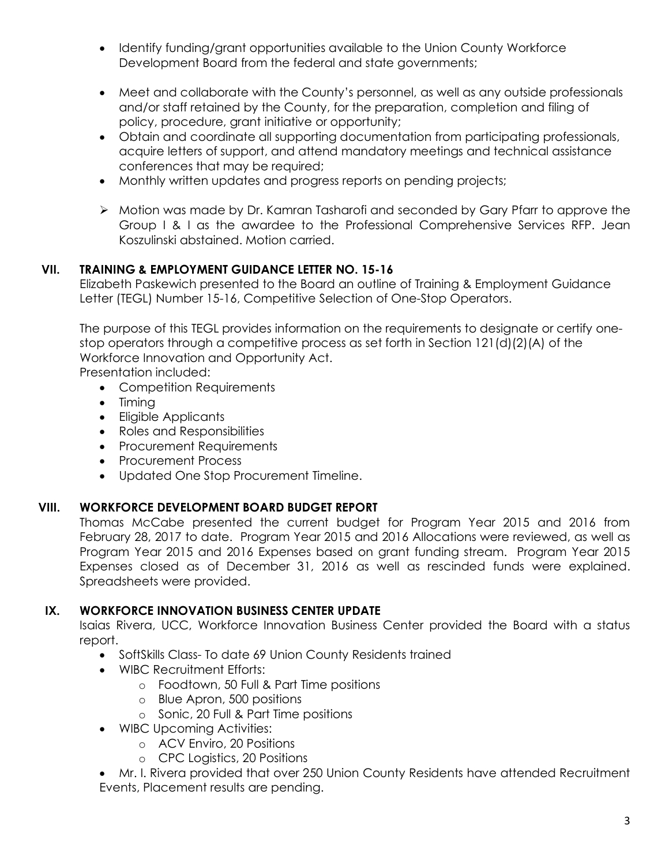- Identify funding/grant opportunities available to the Union County Workforce Development Board from the federal and state governments;
- Meet and collaborate with the County's personnel, as well as any outside professionals and/or staff retained by the County, for the preparation, completion and filing of policy, procedure, grant initiative or opportunity;
- Obtain and coordinate all supporting documentation from participating professionals, acquire letters of support, and attend mandatory meetings and technical assistance conferences that may be required;
- Monthly written updates and progress reports on pending projects;
- Ø Motion was made by Dr. Kamran Tasharofi and seconded by Gary Pfarr to approve the Group I & I as the awardee to the Professional Comprehensive Services RFP. Jean Koszulinski abstained. Motion carried.

# **VII. TRAINING & EMPLOYMENT GUIDANCE LETTER NO. 15-16**

Elizabeth Paskewich presented to the Board an outline of Training & Employment Guidance Letter (TEGL) Number 15-16, Competitive Selection of One-Stop Operators.

The purpose of this TEGL provides information on the requirements to designate or certify onestop operators through a competitive process as set forth in Section 121(d)(2)(A) of the Workforce Innovation and Opportunity Act.

Presentation included:

- Competition Requirements
- Timing
- Eligible Applicants
- Roles and Responsibilities
- Procurement Requirements
- Procurement Process
- Updated One Stop Procurement Timeline.

# **VIII. WORKFORCE DEVELOPMENT BOARD BUDGET REPORT**

Thomas McCabe presented the current budget for Program Year 2015 and 2016 from February 28, 2017 to date. Program Year 2015 and 2016 Allocations were reviewed, as well as Program Year 2015 and 2016 Expenses based on grant funding stream. Program Year 2015 Expenses closed as of December 31, 2016 as well as rescinded funds were explained. Spreadsheets were provided.

# **IX. WORKFORCE INNOVATION BUSINESS CENTER UPDATE**

Isaias Rivera, UCC, Workforce Innovation Business Center provided the Board with a status report.

- SoftSkills Class- To date 69 Union County Residents trained
- WIBC Recruitment Efforts:
	- o Foodtown, 50 Full & Part Time positions
	- o Blue Apron, 500 positions
	- o Sonic, 20 Full & Part Time positions
- WIBC Upcoming Activities:
	- o ACV Enviro, 20 Positions
	- o CPC Logistics, 20 Positions
- Mr. I. Rivera provided that over 250 Union County Residents have attended Recruitment Events, Placement results are pending.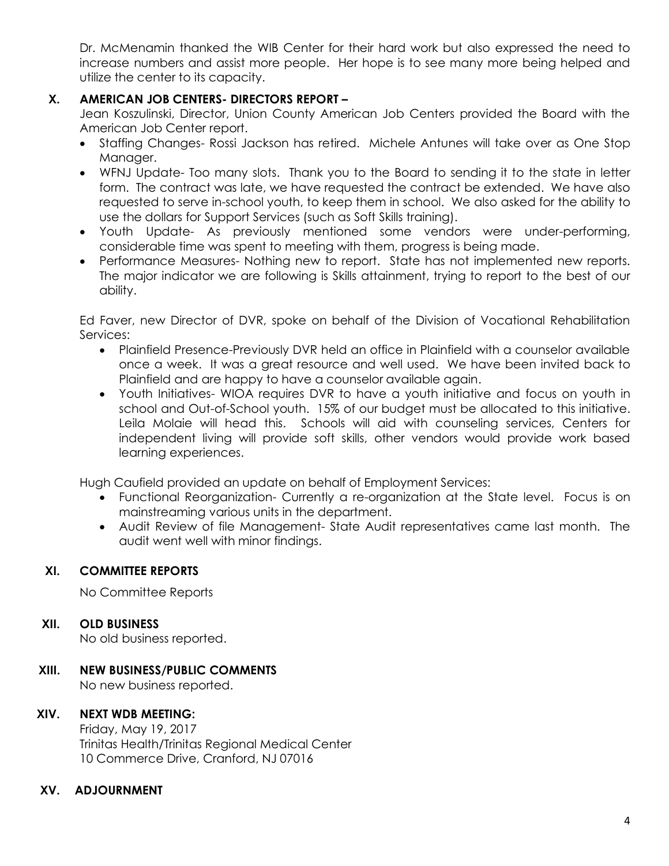Dr. McMenamin thanked the WIB Center for their hard work but also expressed the need to increase numbers and assist more people. Her hope is to see many more being helped and utilize the center to its capacity.

# **X. AMERICAN JOB CENTERS- DIRECTORS REPORT –**

Jean Koszulinski, Director, Union County American Job Centers provided the Board with the American Job Center report.

- Staffing Changes- Rossi Jackson has retired. Michele Antunes will take over as One Stop Manager.
- WFNJ Update- Too many slots. Thank you to the Board to sending it to the state in letter form. The contract was late, we have requested the contract be extended. We have also requested to serve in-school youth, to keep them in school. We also asked for the ability to use the dollars for Support Services (such as Soft Skills training).
- Youth Update- As previously mentioned some vendors were under-performing, considerable time was spent to meeting with them, progress is being made.
- Performance Measures- Nothing new to report. State has not implemented new reports. The major indicator we are following is Skills attainment, trying to report to the best of our ability.

Ed Faver, new Director of DVR, spoke on behalf of the Division of Vocational Rehabilitation Services:

- Plainfield Presence-Previously DVR held an office in Plainfield with a counselor available once a week. It was a great resource and well used. We have been invited back to Plainfield and are happy to have a counselor available again.
- Youth Initiatives- WIOA requires DVR to have a youth initiative and focus on youth in school and Out-of-School youth. 15% of our budget must be allocated to this initiative. Leila Molaie will head this. Schools will aid with counseling services, Centers for independent living will provide soft skills, other vendors would provide work based learning experiences.

Hugh Caufield provided an update on behalf of Employment Services:

- Functional Reorganization- Currently a re-organization at the State level. Focus is on mainstreaming various units in the department.
- Audit Review of file Management- State Audit representatives came last month. The audit went well with minor findings.

## **XI. COMMITTEE REPORTS**

No Committee Reports

## **XII. OLD BUSINESS**

No old business reported.

# **XIII. NEW BUSINESS/PUBLIC COMMENTS**

No new business reported.

#### **XIV. NEXT WDB MEETING:**

Friday, May 19, 2017 Trinitas Health/Trinitas Regional Medical Center 10 Commerce Drive, Cranford, NJ 07016

#### **XV. ADJOURNMENT**